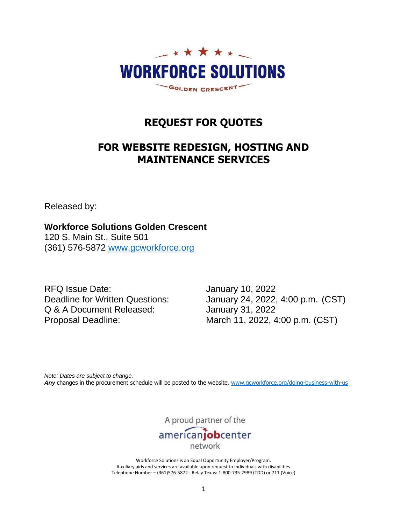

# **REQUEST FOR QUOTES**

# **FOR WEBSITE REDESIGN, HOSTING AND MAINTENANCE SERVICES**

Released by:

**Workforce Solutions Golden Crescent**

120 S. Main St., Suite 501 (361) 576-5872 [www.gcworkforce.org](http://www.gcworkforce.org/)

RFQ Issue Date: January 10, 2022 Q & A Document Released: January 31, 2022

Deadline for Written Questions: January 24, 2022, 4:00 p.m. (CST) Proposal Deadline: March 11, 2022, 4:00 p.m. (CST)

*Note: Dates are subject to change.*  Any changes in the procurement schedule will be posted to the website, [www.gcworkforce.org/doing-business-with-us](http://www.gcworkforce.org/doing-business-with-us)

A proud partner of the

americanjobcenter

network

Workforce Solutions is an Equal Opportunity Employer/Program. Auxiliary aids and services are available upon request to individuals with disabilities. Telephone Number – (361)576-5872 - Relay Texas: 1-800-735-2989 (TDD) or 711 (Voice)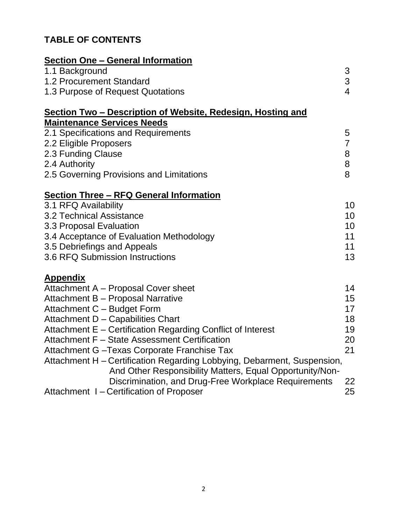# **TABLE OF CONTENTS**

| <b>Section One – General Information</b>                                                                                            |                  |
|-------------------------------------------------------------------------------------------------------------------------------------|------------------|
| 1.1 Background                                                                                                                      | 3                |
| 1.2 Procurement Standard                                                                                                            | 3                |
| 1.3 Purpose of Request Quotations                                                                                                   | $\overline{4}$   |
| <u> Section Two – Description of Website, Redesign, Hosting and</u>                                                                 |                  |
| <b>Maintenance Services Needs</b>                                                                                                   |                  |
| 2.1 Specifications and Requirements                                                                                                 | 5                |
| 2.2 Eligible Proposers                                                                                                              | $\overline{7}$   |
| 2.3 Funding Clause                                                                                                                  | 8                |
| 2.4 Authority                                                                                                                       | 8                |
| 2.5 Governing Provisions and Limitations                                                                                            | 8                |
| <b>Section Three - RFQ General Information</b>                                                                                      |                  |
| 3.1 RFQ Availability                                                                                                                | 10               |
| 3.2 Technical Assistance                                                                                                            | 10               |
| 3.3 Proposal Evaluation                                                                                                             | 10               |
| 3.4 Acceptance of Evaluation Methodology                                                                                            | 11               |
| 3.5 Debriefings and Appeals                                                                                                         | 11               |
| 3.6 RFQ Submission Instructions                                                                                                     | 13               |
| <b>Appendix</b>                                                                                                                     |                  |
| Attachment A - Proposal Cover sheet                                                                                                 | 14               |
| Attachment B - Proposal Narrative                                                                                                   | 15 <sub>15</sub> |
| Attachment C - Budget Form                                                                                                          | 17               |
| Attachment D - Capabilities Chart                                                                                                   | 18               |
| Attachment E – Certification Regarding Conflict of Interest                                                                         | 19               |
| Attachment F - State Assessment Certification                                                                                       | 20               |
| Attachment G - Texas Corporate Franchise Tax                                                                                        | 21               |
| Attachment H - Certification Regarding Lobbying, Debarment, Suspension,<br>And Other Responsibility Matters, Equal Opportunity/Non- |                  |
| Discrimination, and Drug-Free Workplace Requirements                                                                                | <u>22</u>        |
| Attachment I - Certification of Proposer                                                                                            | 25               |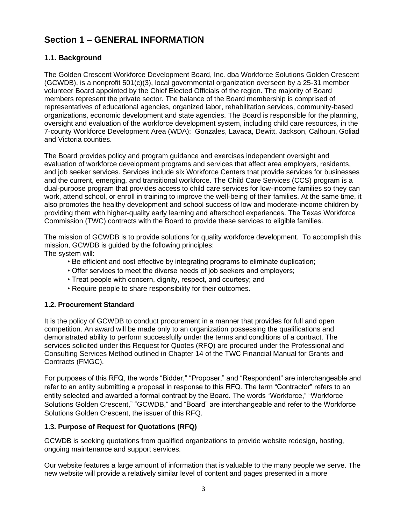## **Section 1 – GENERAL INFORMATION**

## **1.1. Background**

The Golden Crescent Workforce Development Board, Inc. dba Workforce Solutions Golden Crescent (GCWDB), is a nonprofit 501(c)(3), local governmental organization overseen by a 25-31 member volunteer Board appointed by the Chief Elected Officials of the region. The majority of Board members represent the private sector. The balance of the Board membership is comprised of representatives of educational agencies, organized labor, rehabilitation services, community-based organizations, economic development and state agencies. The Board is responsible for the planning, oversight and evaluation of the workforce development system, including child care resources, in the 7-county Workforce Development Area (WDA): Gonzales, Lavaca, Dewitt, Jackson, Calhoun, Goliad and Victoria counties.

The Board provides policy and program guidance and exercises independent oversight and evaluation of workforce development programs and services that affect area employers, residents, and job seeker services. Services include six Workforce Centers that provide services for businesses and the current, emerging, and transitional workforce. The Child Care Services (CCS) program is a dual-purpose program that provides access to child care services for low-income families so they can work, attend school, or enroll in training to improve the well-being of their families. At the same time, it also promotes the healthy development and school success of low and moderate-income children by providing them with higher-quality early learning and afterschool experiences. The Texas Workforce Commission (TWC) contracts with the Board to provide these services to eligible families.

The mission of GCWDB is to provide solutions for quality workforce development. To accomplish this mission, GCWDB is guided by the following principles: The system will:

• Be efficient and cost effective by integrating programs to eliminate duplication;

- Offer services to meet the diverse needs of job seekers and employers;
- Treat people with concern, dignity, respect, and courtesy; and
- Require people to share responsibility for their outcomes.

## **1.2. Procurement Standard**

It is the policy of GCWDB to conduct procurement in a manner that provides for full and open competition. An award will be made only to an organization possessing the qualifications and demonstrated ability to perform successfully under the terms and conditions of a contract. The services solicited under this Request for Quotes (RFQ) are procured under the Professional and Consulting Services Method outlined in Chapter 14 of the TWC Financial Manual for Grants and Contracts (FMGC).

For purposes of this RFQ, the words "Bidder," "Proposer," and "Respondent" are interchangeable and refer to an entity submitting a proposal in response to this RFQ. The term "Contractor" refers to an entity selected and awarded a formal contract by the Board. The words "Workforce," "Workforce Solutions Golden Crescent," "GCWDB," and "Board" are interchangeable and refer to the Workforce Solutions Golden Crescent, the issuer of this RFQ.

## **1.3. Purpose of Request for Quotations (RFQ)**

GCWDB is seeking quotations from qualified organizations to provide website redesign, hosting, ongoing maintenance and support services.

Our website features a large amount of information that is valuable to the many people we serve. The new website will provide a relatively similar level of content and pages presented in a more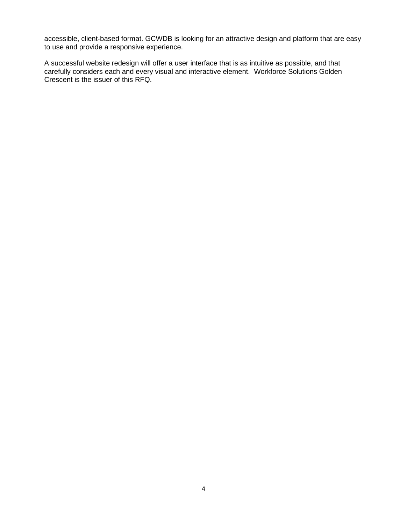accessible, client-based format. GCWDB is looking for an attractive design and platform that are easy to use and provide a responsive experience.

A successful website redesign will offer a user interface that is as intuitive as possible, and that carefully considers each and every visual and interactive element. Workforce Solutions Golden Crescent is the issuer of this RFQ.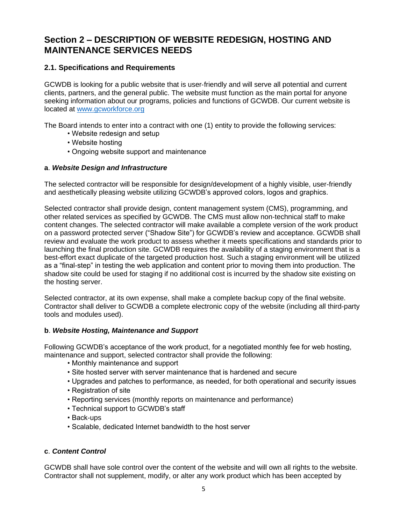## **Section 2 – DESCRIPTION OF WEBSITE REDESIGN, HOSTING AND MAINTENANCE SERVICES NEEDS**

## **2.1. Specifications and Requirements**

GCWDB is looking for a public website that is user‐friendly and will serve all potential and current clients, partners, and the general public. The website must function as the main portal for anyone seeking information about our programs, policies and functions of GCWDB. Our current website is located at [www.gcworkforce.org](file:///C:/Users/guajahej/Documents/Procurement/Website%20design/www.gcworkforce.org)

The Board intends to enter into a contract with one (1) entity to provide the following services:

- Website redesign and setup
- Website hosting
- Ongoing website support and maintenance

#### **a**. *Website Design and Infrastructure*

The selected contractor will be responsible for design/development of a highly visible, user-friendly and aesthetically pleasing website utilizing GCWDB's approved colors, logos and graphics.

Selected contractor shall provide design, content management system (CMS), programming, and other related services as specified by GCWDB. The CMS must allow non‐technical staff to make content changes. The selected contractor will make available a complete version of the work product on a password protected server ("Shadow Site") for GCWDB's review and acceptance. GCWDB shall review and evaluate the work product to assess whether it meets specifications and standards prior to launching the final production site. GCWDB requires the availability of a staging environment that is a best-effort exact duplicate of the targeted production host. Such a staging environment will be utilized as a "final-step" in testing the web application and content prior to moving them into production. The shadow site could be used for staging if no additional cost is incurred by the shadow site existing on the hosting server.

Selected contractor, at its own expense, shall make a complete backup copy of the final website. Contractor shall deliver to GCWDB a complete electronic copy of the website (including all third-party tools and modules used).

## **b**. *Website Hosting, Maintenance and Support*

Following GCWDB's acceptance of the work product, for a negotiated monthly fee for web hosting, maintenance and support, selected contractor shall provide the following:

- Monthly maintenance and support
- Site hosted server with server maintenance that is hardened and secure
- Upgrades and patches to performance, as needed, for both operational and security issues
- Registration of site
- Reporting services (monthly reports on maintenance and performance)
- Technical support to GCWDB's staff
- Back-ups
- Scalable, dedicated Internet bandwidth to the host server

#### **c**. *Content Control*

GCWDB shall have sole control over the content of the website and will own all rights to the website. Contractor shall not supplement, modify, or alter any work product which has been accepted by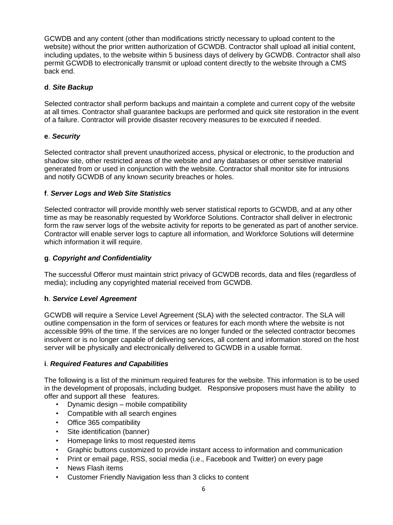GCWDB and any content (other than modifications strictly necessary to upload content to the website) without the prior written authorization of GCWDB. Contractor shall upload all initial content, including updates, to the website within 5 business days of delivery by GCWDB. Contractor shall also permit GCWDB to electronically transmit or upload content directly to the website through a CMS back end.

#### **d**. *Site Backup*

Selected contractor shall perform backups and maintain a complete and current copy of the website at all times. Contractor shall guarantee backups are performed and quick site restoration in the event of a failure. Contractor will provide disaster recovery measures to be executed if needed.

## **e**. *Security*

Selected contractor shall prevent unauthorized access, physical or electronic, to the production and shadow site, other restricted areas of the website and any databases or other sensitive material generated from or used in conjunction with the website. Contractor shall monitor site for intrusions and notify GCWDB of any known security breaches or holes.

#### **f**. *Server Logs and Web Site Statistics*

Selected contractor will provide monthly web server statistical reports to GCWDB, and at any other time as may be reasonably requested by Workforce Solutions. Contractor shall deliver in electronic form the raw server logs of the website activity for reports to be generated as part of another service. Contractor will enable server logs to capture all information, and Workforce Solutions will determine which information it will require.

#### **g**. *Copyright and Confidentiality*

The successful Offeror must maintain strict privacy of GCWDB records, data and files (regardless of media); including any copyrighted material received from GCWDB.

#### **h**. *Service Level Agreement*

GCWDB will require a Service Level Agreement (SLA) with the selected contractor. The SLA will outline compensation in the form of services or features for each month where the website is not accessible 99% of the time. If the services are no longer funded or the selected contractor becomes insolvent or is no longer capable of delivering services, all content and information stored on the host server will be physically and electronically delivered to GCWDB in a usable format.

#### **i**. *Required Features and Capabilities*

The following is a list of the minimum required features for the website. This information is to be used in the development of proposals, including budget. Responsive proposers must have the ability to offer and support all these features.

- Dynamic design mobile compatibility
- Compatible with all search engines
- Office 365 compatibility
- Site identification (banner)
- Homepage links to most requested items
- Graphic buttons customized to provide instant access to information and communication
- Print or email page, RSS, social media (i.e., Facebook and Twitter) on every page
- News Flash items
- Customer Friendly Navigation less than 3 clicks to content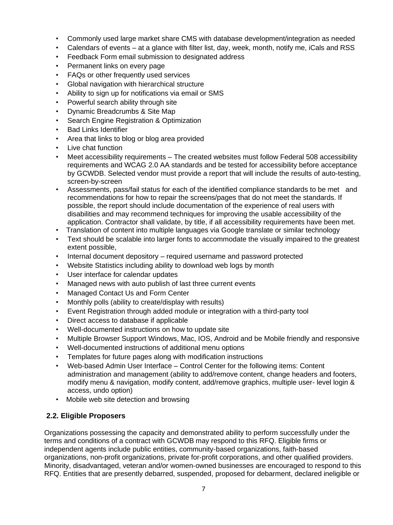- Commonly used large market share CMS with database development/integration as needed
- Calendars of events at a glance with filter list, day, week, month, notify me, iCals and RSS
- Feedback Form email submission to designated address
- Permanent links on every page
- FAQs or other frequently used services
- Global navigation with hierarchical structure
- Ability to sign up for notifications via email or SMS
- Powerful search ability through site
- Dynamic Breadcrumbs & Site Map
- Search Engine Registration & Optimization
- Bad Links Identifier
- Area that links to blog or blog area provided
- Live chat function
- Meet accessibility requirements The created websites must follow Federal 508 accessibility requirements and WCAG 2.0 AA standards and be tested for accessibility before acceptance by GCWDB. Selected vendor must provide a report that will include the results of auto-testing, screen-by-screen
- Assessments, pass/fail status for each of the identified compliance standards to be met and recommendations for how to repair the screens/pages that do not meet the standards. If possible, the report should include documentation of the experience of real users with disabilities and may recommend techniques for improving the usable accessibility of the application. Contractor shall validate, by title, if all accessibility requirements have been met.
- Translation of content into multiple languages via Google translate or similar technology
- Text should be scalable into larger fonts to accommodate the visually impaired to the greatest extent possible,
- Internal document depository required username and password protected
- Website Statistics including ability to download web logs by month
- User interface for calendar updates
- Managed news with auto publish of last three current events
- Managed Contact Us and Form Center
- Monthly polls (ability to create/display with results)
- Event Registration through added module or integration with a third-party tool
- Direct access to database if applicable
- Well-documented instructions on how to update site
- Multiple Browser Support Windows, Mac, IOS, Android and be Mobile friendly and responsive
- Well-documented instructions of additional menu options
- Templates for future pages along with modification instructions
- Web-based Admin User Interface Control Center for the following items: Content administration and management (ability to add/remove content, change headers and footers, modify menu & navigation, modify content, add/remove graphics, multiple user- level login & access, undo option)
- Mobile web site detection and browsing

## **2.2. Eligible Proposers**

Organizations possessing the capacity and demonstrated ability to perform successfully under the terms and conditions of a contract with GCWDB may respond to this RFQ. Eligible firms or independent agents include public entities, community‐based organizations, faith‐based organizations, non‐profit organizations, private for‐profit corporations, and other qualified providers. Minority, disadvantaged, veteran and/or women‐owned businesses are encouraged to respond to this RFQ. Entities that are presently debarred, suspended, proposed for debarment, declared ineligible or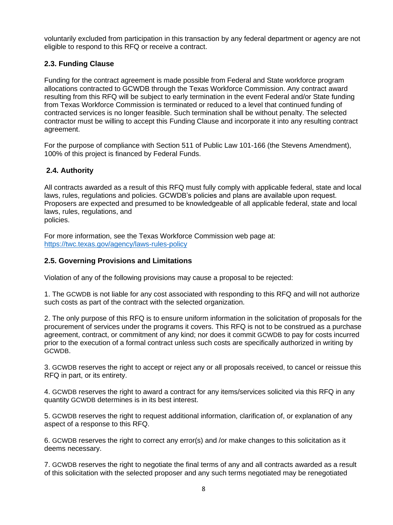voluntarily excluded from participation in this transaction by any federal department or agency are not eligible to respond to this RFQ or receive a contract.

## **2.3. Funding Clause**

Funding for the contract agreement is made possible from Federal and State workforce program allocations contracted to GCWDB through the Texas Workforce Commission. Any contract award resulting from this RFQ will be subject to early termination in the event Federal and/or State funding from Texas Workforce Commission is terminated or reduced to a level that continued funding of contracted services is no longer feasible. Such termination shall be without penalty. The selected contractor must be willing to accept this Funding Clause and incorporate it into any resulting contract agreement.

For the purpose of compliance with Section 511 of Public Law 101-166 (the Stevens Amendment), 100% of this project is financed by Federal Funds.

## **2.4. Authority**

All contracts awarded as a result of this RFQ must fully comply with applicable federal, state and local laws, rules, regulations and policies. GCWDB's policies and plans are available upon request. Proposers are expected and presumed to be knowledgeable of all applicable federal, state and local laws, rules, regulations, and policies.

For more information, see the Texas Workforce Commission web page at: <https://twc.texas.gov/agency/laws-rules-policy>

## **2.5. Governing Provisions and Limitations**

Violation of any of the following provisions may cause a proposal to be rejected:

1. The GCWDB is not liable for any cost associated with responding to this RFQ and will not authorize such costs as part of the contract with the selected organization.

2. The only purpose of this RFQ is to ensure uniform information in the solicitation of proposals for the procurement of services under the programs it covers. This RFQ is not to be construed as a purchase agreement, contract, or commitment of any kind; nor does it commit GCWDB to pay for costs incurred prior to the execution of a formal contract unless such costs are specifically authorized in writing by GCWDB.

3. GCWDB reserves the right to accept or reject any or all proposals received, to cancel or reissue this RFQ in part, or its entirety.

4. GCWDB reserves the right to award a contract for any items/services solicited via this RFQ in any quantity GCWDB determines is in its best interest.

5. GCWDB reserves the right to request additional information, clarification of, or explanation of any aspect of a response to this RFQ.

6. GCWDB reserves the right to correct any error(s) and /or make changes to this solicitation as it deems necessary.

7. GCWDB reserves the right to negotiate the final terms of any and all contracts awarded as a result of this solicitation with the selected proposer and any such terms negotiated may be renegotiated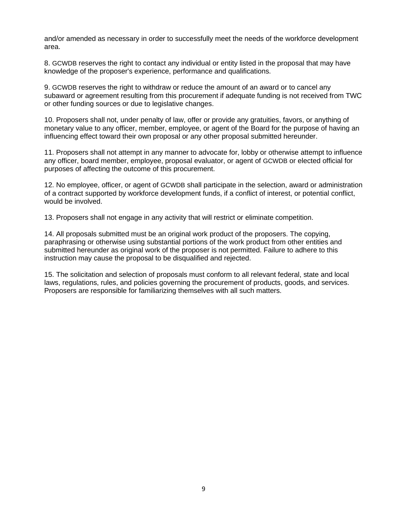and/or amended as necessary in order to successfully meet the needs of the workforce development area.

8. GCWDB reserves the right to contact any individual or entity listed in the proposal that may have knowledge of the proposer's experience, performance and qualifications.

9. GCWDB reserves the right to withdraw or reduce the amount of an award or to cancel any subaward or agreement resulting from this procurement if adequate funding is not received from TWC or other funding sources or due to legislative changes.

10. Proposers shall not, under penalty of law, offer or provide any gratuities, favors, or anything of monetary value to any officer, member, employee, or agent of the Board for the purpose of having an influencing effect toward their own proposal or any other proposal submitted hereunder.

11. Proposers shall not attempt in any manner to advocate for, lobby or otherwise attempt to influence any officer, board member, employee, proposal evaluator, or agent of GCWDB or elected official for purposes of affecting the outcome of this procurement.

12. No employee, officer, or agent of GCWDB shall participate in the selection, award or administration of a contract supported by workforce development funds, if a conflict of interest, or potential conflict, would be involved.

13. Proposers shall not engage in any activity that will restrict or eliminate competition.

14. All proposals submitted must be an original work product of the proposers. The copying, paraphrasing or otherwise using substantial portions of the work product from other entities and submitted hereunder as original work of the proposer is not permitted. Failure to adhere to this instruction may cause the proposal to be disqualified and rejected.

15. The solicitation and selection of proposals must conform to all relevant federal, state and local laws, regulations, rules, and policies governing the procurement of products, goods, and services. Proposers are responsible for familiarizing themselves with all such matters.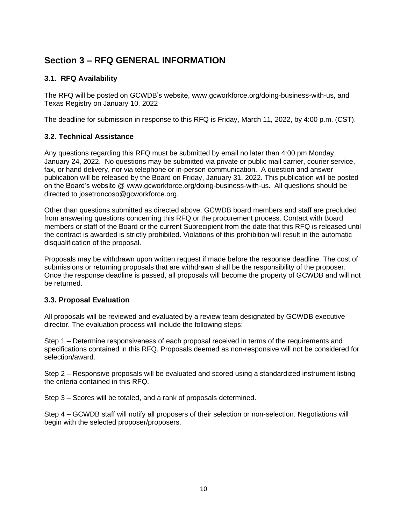## **Section 3 – RFQ GENERAL INFORMATION**

## **3.1. RFQ Availability**

The RFQ will be posted on GCWDB's website, www.gcworkforce.org/doing-business-with-us, and Texas Registry on January 10, 2022

The deadline for submission in response to this RFQ is Friday, March 11, 2022, by 4:00 p.m. (CST).

## **3.2. Technical Assistance**

Any questions regarding this RFQ must be submitted by email no later than 4:00 pm Monday, January 24, 2022. No questions may be submitted via private or public mail carrier, courier service, fax, or hand delivery, nor via telephone or in-person communication. A question and answer publication will be released by the Board on Friday, January 31, 2022. This publication will be posted on the Board's website @ [www.gcworkforce.org/doing-business-with-us.](http://www.gcworkforce.org/doing-business-with-us) All questions should be directed to [josetroncoso@gcworkforce.org.](mailto:josetroncoso@gcworkforce.org)

Other than questions submitted as directed above, GCWDB board members and staff are precluded from answering questions concerning this RFQ or the procurement process. Contact with Board members or staff of the Board or the current Subrecipient from the date that this RFQ is released until the contract is awarded is strictly prohibited. Violations of this prohibition will result in the automatic disqualification of the proposal.

Proposals may be withdrawn upon written request if made before the response deadline. The cost of submissions or returning proposals that are withdrawn shall be the responsibility of the proposer. Once the response deadline is passed, all proposals will become the property of GCWDB and will not be returned.

## **3.3. Proposal Evaluation**

All proposals will be reviewed and evaluated by a review team designated by GCWDB executive director. The evaluation process will include the following steps:

Step 1 – Determine responsiveness of each proposal received in terms of the requirements and specifications contained in this RFQ. Proposals deemed as non-responsive will not be considered for selection/award.

Step 2 – Responsive proposals will be evaluated and scored using a standardized instrument listing the criteria contained in this RFQ.

Step 3 – Scores will be totaled, and a rank of proposals determined.

Step 4 – GCWDB staff will notify all proposers of their selection or non-selection. Negotiations will begin with the selected proposer/proposers.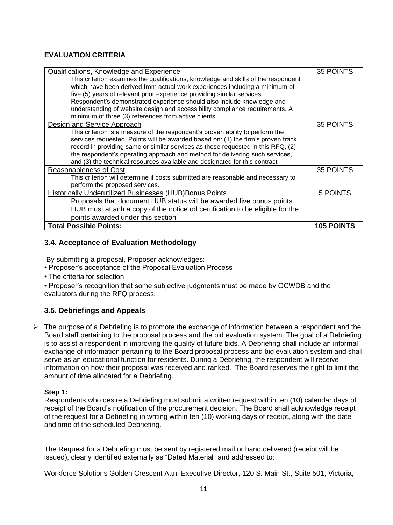## **EVALUATION CRITERIA**

| Qualifications, Knowledge and Experience                                           | 35 POINTS         |
|------------------------------------------------------------------------------------|-------------------|
| This criterion examines the qualifications, knowledge and skills of the respondent |                   |
| which have been derived from actual work experiences including a minimum of        |                   |
| five (5) years of relevant prior experience providing similar services.            |                   |
| Respondent's demonstrated experience should also include knowledge and             |                   |
| understanding of website design and accessibility compliance requirements. A       |                   |
| minimum of three (3) references from active clients                                |                   |
| Design and Service Approach                                                        | 35 POINTS         |
| This criterion is a measure of the respondent's proven ability to perform the      |                   |
| services requested. Points will be awarded based on: (1) the firm's proven track   |                   |
| record in providing same or similar services as those requested in this RFQ, (2)   |                   |
| the respondent's operating approach and method for delivering such services,       |                   |
| and (3) the technical resources available and designated for this contract         |                   |
| <b>Reasonableness of Cost</b>                                                      | 35 POINTS         |
| This criterion will determine if costs submitted are reasonable and necessary to   |                   |
| perform the proposed services.                                                     |                   |
| <b>Historically Underutilized Businesses (HUB) Bonus Points</b>                    | 5 POINTS          |
| Proposals that document HUB status will be awarded five bonus points.              |                   |
| HUB must attach a copy of the notice od certification to be eligible for the       |                   |
| points awarded under this section                                                  |                   |
| <b>Total Possible Points:</b>                                                      | <b>105 POINTS</b> |

## **3.4. Acceptance of Evaluation Methodology**

By submitting a proposal, Proposer acknowledges:

• Proposer's acceptance of the Proposal Evaluation Process

• The criteria for selection

• Proposer's recognition that some subjective judgments must be made by GCWDB and the evaluators during the RFQ process.

## **3.5. Debriefings and Appeals**

 $\triangleright$  The purpose of a Debriefing is to promote the exchange of information between a respondent and the Board staff pertaining to the proposal process and the bid evaluation system. The goal of a Debriefing is to assist a respondent in improving the quality of future bids. A Debriefing shall include an informal exchange of information pertaining to the Board proposal process and bid evaluation system and shall serve as an educational function for residents. During a Debriefing, the respondent will receive information on how their proposal was received and ranked. The Board reserves the right to limit the amount of time allocated for a Debriefing.

#### **Step 1:**

Respondents who desire a Debriefing must submit a written request within ten (10) calendar days of receipt of the Board's notification of the procurement decision. The Board shall acknowledge receipt of the request for a Debriefing in writing within ten (10) working days of receipt, along with the date and time of the scheduled Debriefing.

The Request for a Debriefing must be sent by registered mail or hand delivered (receipt will be issued), clearly identified externally as "Dated Material" and addressed to:

Workforce Solutions Golden Crescent Attn: Executive Director, 120 S. Main St., Suite 501, Victoria,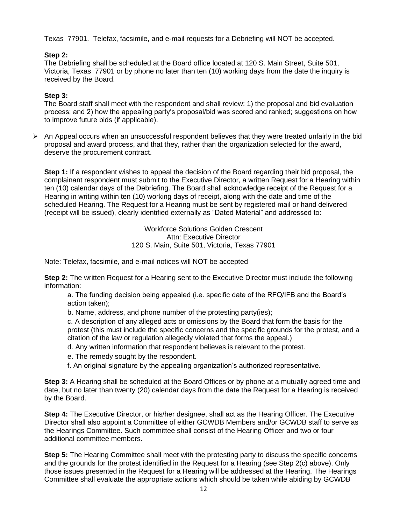Texas 77901. Telefax, facsimile, and e-mail requests for a Debriefing will NOT be accepted.

## **Step 2:**

The Debriefing shall be scheduled at the Board office located at 120 S. Main Street, Suite 501, Victoria, Texas 77901 or by phone no later than ten (10) working days from the date the inquiry is received by the Board.

## **Step 3:**

The Board staff shall meet with the respondent and shall review: 1) the proposal and bid evaluation process; and 2) how the appealing party's proposal/bid was scored and ranked; suggestions on how to improve future bids (if applicable).

 $\triangleright$  An Appeal occurs when an unsuccessful respondent believes that they were treated unfairly in the bid proposal and award process, and that they, rather than the organization selected for the award, deserve the procurement contract.

**Step 1:** If a respondent wishes to appeal the decision of the Board regarding their bid proposal, the complainant respondent must submit to the Executive Director, a written Request for a Hearing within ten (10) calendar days of the Debriefing. The Board shall acknowledge receipt of the Request for a Hearing in writing within ten (10) working days of receipt, along with the date and time of the scheduled Hearing. The Request for a Hearing must be sent by registered mail or hand delivered (receipt will be issued), clearly identified externally as "Dated Material" and addressed to:

> Workforce Solutions Golden Crescent Attn: Executive Director 120 S. Main, Suite 501, Victoria, Texas 77901

Note: Telefax, facsimile, and e-mail notices will NOT be accepted

**Step 2:** The written Request for a Hearing sent to the Executive Director must include the following information:

a. The funding decision being appealed (i.e. specific date of the RFQ/IFB and the Board's action taken);

b. Name, address, and phone number of the protesting party(ies);

c. A description of any alleged acts or omissions by the Board that form the basis for the protest (this must include the specific concerns and the specific grounds for the protest, and a citation of the law or regulation allegedly violated that forms the appeal.)

d. Any written information that respondent believes is relevant to the protest.

e. The remedy sought by the respondent.

f. An original signature by the appealing organization's authorized representative.

**Step 3:** A Hearing shall be scheduled at the Board Offices or by phone at a mutually agreed time and date, but no later than twenty (20) calendar days from the date the Request for a Hearing is received by the Board.

**Step 4:** The Executive Director, or his/her designee, shall act as the Hearing Officer. The Executive Director shall also appoint a Committee of either GCWDB Members and/or GCWDB staff to serve as the Hearings Committee. Such committee shall consist of the Hearing Officer and two or four additional committee members.

**Step 5:** The Hearing Committee shall meet with the protesting party to discuss the specific concerns and the grounds for the protest identified in the Request for a Hearing (see Step 2(c) above). Only those issues presented in the Request for a Hearing will be addressed at the Hearing. The Hearings Committee shall evaluate the appropriate actions which should be taken while abiding by GCWDB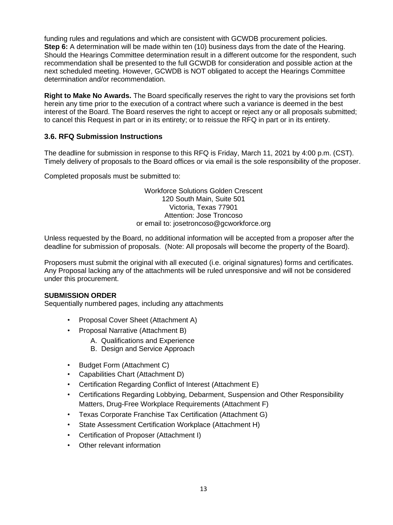funding rules and regulations and which are consistent with GCWDB procurement policies. **Step 6:** A determination will be made within ten (10) business days from the date of the Hearing. Should the Hearings Committee determination result in a different outcome for the respondent, such recommendation shall be presented to the full GCWDB for consideration and possible action at the next scheduled meeting. However, GCWDB is NOT obligated to accept the Hearings Committee determination and/or recommendation.

**Right to Make No Awards.** The Board specifically reserves the right to vary the provisions set forth herein any time prior to the execution of a contract where such a variance is deemed in the best interest of the Board. The Board reserves the right to accept or reject any or all proposals submitted; to cancel this Request in part or in its entirety; or to reissue the RFQ in part or in its entirety.

## **3.6. RFQ Submission Instructions**

The deadline for submission in response to this RFQ is Friday, March 11, 2021 by 4:00 p.m. (CST). Timely delivery of proposals to the Board offices or via email is the sole responsibility of the proposer.

Completed proposals must be submitted to:

Workforce Solutions Golden Crescent 120 South Main, Suite 501 Victoria, Texas 77901 Attention: Jose Troncoso or email to: josetroncoso@gcworkforce.org

Unless requested by the Board, no additional information will be accepted from a proposer after the deadline for submission of proposals. (Note: All proposals will become the property of the Board).

Proposers must submit the original with all executed (i.e. original signatures) forms and certificates. Any Proposal lacking any of the attachments will be ruled unresponsive and will not be considered under this procurement.

#### **SUBMISSION ORDER**

Sequentially numbered pages, including any attachments

- Proposal Cover Sheet (Attachment A)
- Proposal Narrative (Attachment B)
	- A. Qualifications and Experience
	- B. Design and Service Approach
- Budget Form (Attachment C)
- Capabilities Chart (Attachment D)
- Certification Regarding Conflict of Interest (Attachment E)
- Certifications Regarding Lobbying, Debarment, Suspension and Other Responsibility Matters, Drug-Free Workplace Requirements (Attachment F)
- Texas Corporate Franchise Tax Certification (Attachment G)
- State Assessment Certification Workplace (Attachment H)
- Certification of Proposer (Attachment I)
- Other relevant information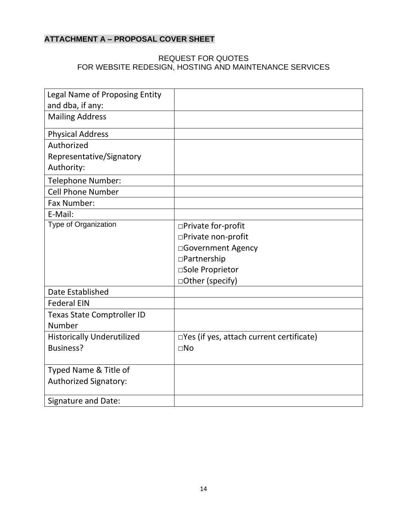## **ATTACHMENT A – PROPOSAL COVER SHEET**

## REQUEST FOR QUOTES FOR WEBSITE REDESIGN, HOSTING AND MAINTENANCE SERVICES

| Legal Name of Proposing Entity    |                                                    |
|-----------------------------------|----------------------------------------------------|
| and dba, if any:                  |                                                    |
| <b>Mailing Address</b>            |                                                    |
| <b>Physical Address</b>           |                                                    |
| Authorized                        |                                                    |
| Representative/Signatory          |                                                    |
| Authority:                        |                                                    |
| <b>Telephone Number:</b>          |                                                    |
| <b>Cell Phone Number</b>          |                                                    |
| Fax Number:                       |                                                    |
| E-Mail:                           |                                                    |
| Type of Organization              | □Private for-profit                                |
|                                   | □Private non-profit                                |
|                                   | □Government Agency                                 |
|                                   | □Partnership                                       |
|                                   | □Sole Proprietor                                   |
|                                   | □Other (specify)                                   |
| Date Established                  |                                                    |
| <b>Federal EIN</b>                |                                                    |
| <b>Texas State Comptroller ID</b> |                                                    |
| Number                            |                                                    |
| <b>Historically Underutilized</b> | $\square$ Yes (if yes, attach current certificate) |
| Business?                         | $\Box$ No                                          |
|                                   |                                                    |
| Typed Name & Title of             |                                                    |
| <b>Authorized Signatory:</b>      |                                                    |
| <b>Signature and Date:</b>        |                                                    |
|                                   |                                                    |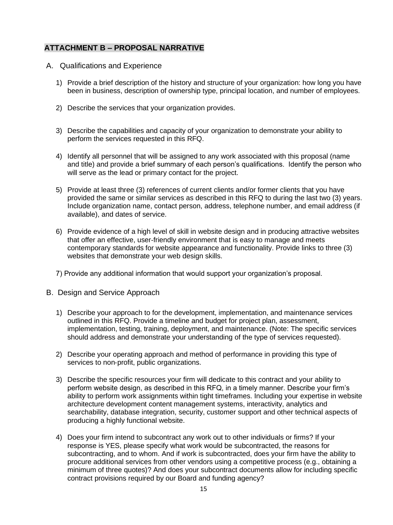## **ATTACHMENT B – PROPOSAL NARRATIVE**

- A. Qualifications and Experience
	- 1) Provide a brief description of the history and structure of your organization: how long you have been in business, description of ownership type, principal location, and number of employees.
	- 2) Describe the services that your organization provides.
	- 3) Describe the capabilities and capacity of your organization to demonstrate your ability to perform the services requested in this RFQ.
	- 4) Identify all personnel that will be assigned to any work associated with this proposal (name and title) and provide a brief summary of each person's qualifications. Identify the person who will serve as the lead or primary contact for the project.
	- 5) Provide at least three (3) references of current clients and/or former clients that you have provided the same or similar services as described in this RFQ to during the last two (3) years. Include organization name, contact person, address, telephone number, and email address (if available), and dates of service.
	- 6) Provide evidence of a high level of skill in website design and in producing attractive websites that offer an effective, user‐friendly environment that is easy to manage and meets contemporary standards for website appearance and functionality. Provide links to three (3) websites that demonstrate your web design skills.
	- 7) Provide any additional information that would support your organization's proposal.
- B. Design and Service Approach
	- 1) Describe your approach to for the development, implementation, and maintenance services outlined in this RFQ. Provide a timeline and budget for project plan, assessment, implementation, testing, training, deployment, and maintenance. (Note: The specific services should address and demonstrate your understanding of the type of services requested).
	- 2) Describe your operating approach and method of performance in providing this type of services to non‐profit, public organizations.
	- 3) Describe the specific resources your firm will dedicate to this contract and your ability to perform website design, as described in this RFQ, in a timely manner. Describe your firm's ability to perform work assignments within tight timeframes. Including your expertise in website architecture development content management systems, interactivity, analytics and searchability, database integration, security, customer support and other technical aspects of producing a highly functional website.
	- 4) Does your firm intend to subcontract any work out to other individuals or firms? If your response is YES, please specify what work would be subcontracted, the reasons for subcontracting, and to whom. And if work is subcontracted, does your firm have the ability to procure additional services from other vendors using a competitive process (e.g., obtaining a minimum of three quotes)? And does your subcontract documents allow for including specific contract provisions required by our Board and funding agency?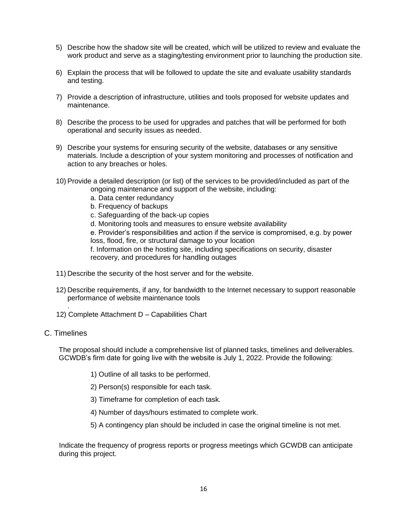- 5) Describe how the shadow site will be created, which will be utilized to review and evaluate the work product and serve as a staging/testing environment prior to launching the production site.
- 6) Explain the process that will be followed to update the site and evaluate usability standards and testing.
- 7) Provide a description of infrastructure, utilities and tools proposed for website updates and maintenance.
- 8) Describe the process to be used for upgrades and patches that will be performed for both operational and security issues as needed.
- 9) Describe your systems for ensuring security of the website, databases or any sensitive materials. Include a description of your system monitoring and processes of notification and action to any breaches or holes.
- 10) Provide a detailed description (or list) of the services to be provided/included as part of the ongoing maintenance and support of the website, including:
	- a. Data center redundancy
	- b. Frequency of backups
	- c. Safeguarding of the back-up copies
	- d. Monitoring tools and measures to ensure website availability

e. Provider's responsibilities and action if the service is compromised, e.g. by power loss, flood, fire, or structural damage to your location

f. Information on the hosting site, including specifications on security, disaster recovery, and procedures for handling outages

- 11) Describe the security of the host server and for the website.
- 12) Describe requirements, if any, for bandwidth to the Internet necessary to support reasonable performance of website maintenance tools
- 12) Complete Attachment D Capabilities Chart
- C. Timelines

.

The proposal should include a comprehensive list of planned tasks, timelines and deliverables. GCWDB's firm date for going live with the website is July 1, 2022. Provide the following:

- 1) Outline of all tasks to be performed.
- 2) Person(s) responsible for each task.
- 3) Timeframe for completion of each task.
- 4) Number of days/hours estimated to complete work.
- 5) A contingency plan should be included in case the original timeline is not met.

 Indicate the frequency of progress reports or progress meetings which GCWDB can anticipate during this project.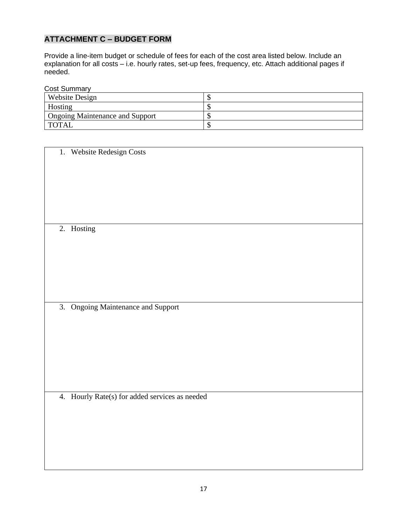## **ATTACHMENT C – BUDGET FORM**

Provide a line-item budget or schedule of fees for each of the cost area listed below. Include an explanation for all costs – i.e. hourly rates, set-up fees, frequency, etc. Attach additional pages if needed.

Cost Summary

| ------------                           |  |  |  |
|----------------------------------------|--|--|--|
| Website Design                         |  |  |  |
| Hosting                                |  |  |  |
| <b>Ongoing Maintenance and Support</b> |  |  |  |
| <b>TOTAL</b>                           |  |  |  |

1. Website Redesign Costs

2. Hosting

3. Ongoing Maintenance and Support

4. Hourly Rate(s) for added services as needed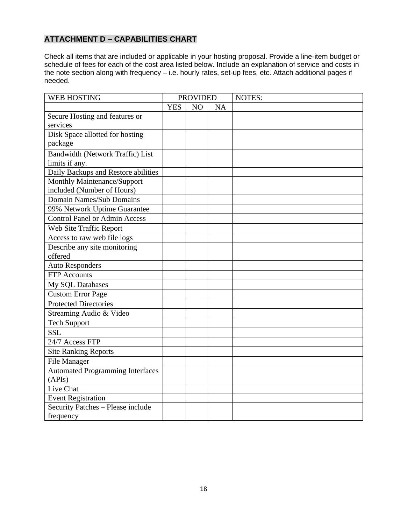## **ATTACHMENT D – CAPABILITIES CHART**

Check all items that are included or applicable in your hosting proposal. Provide a line-item budget or schedule of fees for each of the cost area listed below. Include an explanation of service and costs in the note section along with frequency – i.e. hourly rates, set-up fees, etc. Attach additional pages if needed.

| <b>WEB HOSTING</b>                      | <b>PROVIDED</b> |    |           | NOTES: |
|-----------------------------------------|-----------------|----|-----------|--------|
|                                         | <b>YES</b>      | NO | <b>NA</b> |        |
| Secure Hosting and features or          |                 |    |           |        |
| services                                |                 |    |           |        |
| Disk Space allotted for hosting         |                 |    |           |        |
| package                                 |                 |    |           |        |
| Bandwidth (Network Traffic) List        |                 |    |           |        |
| limits if any.                          |                 |    |           |        |
| Daily Backups and Restore abilities     |                 |    |           |        |
| Monthly Maintenance/Support             |                 |    |           |        |
| included (Number of Hours)              |                 |    |           |        |
| Domain Names/Sub Domains                |                 |    |           |        |
| 99% Network Uptime Guarantee            |                 |    |           |        |
| <b>Control Panel or Admin Access</b>    |                 |    |           |        |
| Web Site Traffic Report                 |                 |    |           |        |
| Access to raw web file logs             |                 |    |           |        |
| Describe any site monitoring            |                 |    |           |        |
| offered                                 |                 |    |           |        |
| <b>Auto Responders</b>                  |                 |    |           |        |
| <b>FTP</b> Accounts                     |                 |    |           |        |
| My SQL Databases                        |                 |    |           |        |
| <b>Custom Error Page</b>                |                 |    |           |        |
| <b>Protected Directories</b>            |                 |    |           |        |
| Streaming Audio & Video                 |                 |    |           |        |
| <b>Tech Support</b>                     |                 |    |           |        |
| <b>SSL</b>                              |                 |    |           |        |
| 24/7 Access FTP                         |                 |    |           |        |
| <b>Site Ranking Reports</b>             |                 |    |           |        |
| <b>File Manager</b>                     |                 |    |           |        |
| <b>Automated Programming Interfaces</b> |                 |    |           |        |
| (APIs)                                  |                 |    |           |        |
| Live Chat                               |                 |    |           |        |
| <b>Event Registration</b>               |                 |    |           |        |
| Security Patches - Please include       |                 |    |           |        |
| frequency                               |                 |    |           |        |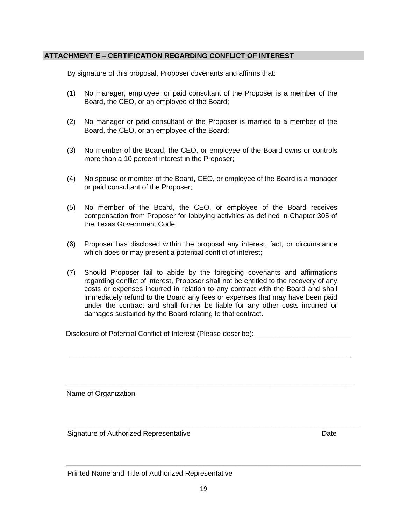#### **ATTACHMENT E – CERTIFICATION REGARDING CONFLICT OF INTEREST**

By signature of this proposal, Proposer covenants and affirms that:

- (1) No manager, employee, or paid consultant of the Proposer is a member of the Board, the CEO, or an employee of the Board;
- (2) No manager or paid consultant of the Proposer is married to a member of the Board, the CEO, or an employee of the Board;
- (3) No member of the Board, the CEO, or employee of the Board owns or controls more than a 10 percent interest in the Proposer;
- (4) No spouse or member of the Board, CEO, or employee of the Board is a manager or paid consultant of the Proposer;
- (5) No member of the Board, the CEO, or employee of the Board receives compensation from Proposer for lobbying activities as defined in Chapter 305 of the Texas Government Code;
- (6) Proposer has disclosed within the proposal any interest, fact, or circumstance which does or may present a potential conflict of interest;
- (7) Should Proposer fail to abide by the foregoing covenants and affirmations regarding conflict of interest, Proposer shall not be entitled to the recovery of any costs or expenses incurred in relation to any contract with the Board and shall immediately refund to the Board any fees or expenses that may have been paid under the contract and shall further be liable for any other costs incurred or damages sustained by the Board relating to that contract.

Disclosure of Potential Conflict of Interest (Please describe): \_\_\_\_\_\_\_\_\_\_\_\_\_\_\_\_

\_\_\_\_\_\_\_\_\_\_\_\_\_\_\_\_\_\_\_\_\_\_\_\_\_\_\_\_\_\_\_\_\_\_\_\_\_\_\_\_\_\_\_\_\_\_\_\_\_\_\_\_\_\_\_\_\_\_\_\_\_\_\_\_\_\_\_\_\_\_\_\_\_

\_\_\_\_\_\_\_\_\_\_\_\_\_\_\_\_\_\_\_\_\_\_\_\_\_\_\_\_\_\_\_\_\_\_\_\_\_\_\_\_\_\_\_\_\_\_\_\_\_\_\_\_\_\_\_\_\_\_\_\_\_\_\_\_\_\_\_\_\_\_\_\_\_\_

\_\_\_\_\_\_\_\_\_\_\_\_\_\_\_\_\_\_\_\_\_\_\_\_\_\_\_\_\_\_\_\_\_\_\_\_\_\_\_\_\_\_\_\_\_\_\_\_\_\_\_\_\_\_\_\_\_\_\_\_\_\_\_\_\_\_\_\_\_\_\_\_\_\_\_

\_\_\_\_\_\_\_\_\_\_\_\_\_\_\_\_\_\_\_\_\_\_\_\_\_\_\_\_\_\_\_\_\_\_\_\_\_\_\_\_\_\_\_\_\_\_\_\_\_\_\_\_\_\_\_\_\_\_\_\_\_\_\_\_\_\_\_\_\_\_\_\_

Name of Organization

Signature of Authorized Representative **Date** Date Date

Printed Name and Title of Authorized Representative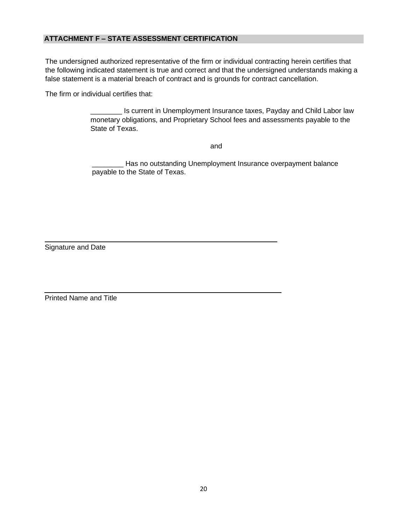## **ATTACHMENT F – STATE ASSESSMENT CERTIFICATION**

The undersigned authorized representative of the firm or individual contracting herein certifies that the following indicated statement is true and correct and that the undersigned understands making a false statement is a material breach of contract and is grounds for contract cancellation.

The firm or individual certifies that:

\_\_\_\_\_\_\_\_ Is current in Unemployment Insurance taxes, Payday and Child Labor law monetary obligations, and Proprietary School fees and assessments payable to the State of Texas.

and the contract of the contract of the contract of the contract of the contract of the contract of the contract of the contract of the contract of the contract of the contract of the contract of the contract of the contra

Has no outstanding Unemployment Insurance overpayment balance payable to the State of Texas.

Signature and Date

Printed Name and Title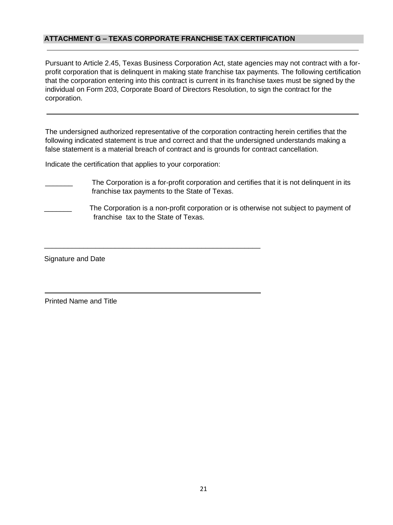#### **ATTACHMENT G – TEXAS CORPORATE FRANCHISE TAX CERTIFICATION**

Pursuant to Article 2.45, Texas Business Corporation Act, state agencies may not contract with a forprofit corporation that is delinquent in making state franchise tax payments. The following certification that the corporation entering into this contract is current in its franchise taxes must be signed by the individual on Form 203, Corporate Board of Directors Resolution, to sign the contract for the corporation.

The undersigned authorized representative of the corporation contracting herein certifies that the following indicated statement is true and correct and that the undersigned understands making a false statement is a material breach of contract and is grounds for contract cancellation.

Indicate the certification that applies to your corporation:

- The Corporation is a for-profit corporation and certifies that it is not delinquent in its franchise tax payments to the State of Texas.
- The Corporation is a non-profit corporation or is otherwise not subject to payment of franchise tax to the State of Texas.

\_\_\_\_\_\_\_\_\_\_\_\_\_\_\_\_\_\_\_\_\_\_\_\_\_\_\_\_\_\_\_\_\_\_\_\_\_\_\_\_\_\_\_\_\_\_\_\_\_\_\_\_\_\_\_

Signature and Date

Printed Name and Title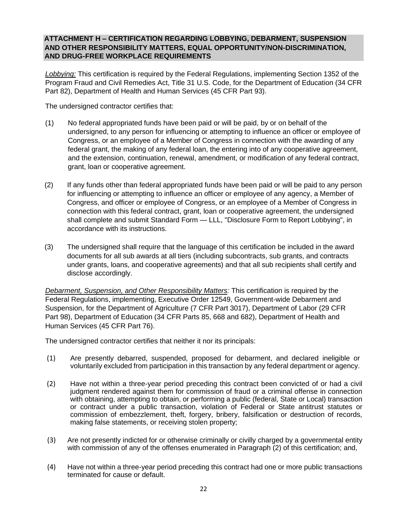#### **ATTACHMENT H – CERTIFICATION REGARDING LOBBYING, DEBARMENT, SUSPENSION AND OTHER RESPONSIBILITY MATTERS, EQUAL OPPORTUNITY/NON-DISCRIMINATION, AND DRUG-FREE WORKPLACE REQUIREMENTS**

*Lobbying:* This certification is required by the Federal Regulations, implementing Section 1352 of the Program Fraud and Civil Remedies Act, Title 31 U.S. Code, for the Department of Education (34 CFR Part 82), Department of Health and Human Services (45 CFR Part 93).

The undersigned contractor certifies that:

- (1) No federal appropriated funds have been paid or will be paid, by or on behalf of the undersigned, to any person for influencing or attempting to influence an officer or employee of Congress, or an employee of a Member of Congress in connection with the awarding of any federal grant, the making of any federal loan, the entering into of any cooperative agreement, and the extension, continuation, renewal, amendment, or modification of any federal contract, grant, loan or cooperative agreement.
- (2) If any funds other than federal appropriated funds have been paid or will be paid to any person for influencing or attempting to influence an officer or employee of any agency, a Member of Congress, and officer or employee of Congress, or an employee of a Member of Congress in connection with this federal contract, grant, loan or cooperative agreement, the undersigned shall complete and submit Standard Form — LLL, "Disclosure Form to Report Lobbying", in accordance with its instructions.
- (3) The undersigned shall require that the language of this certification be included in the award documents for all sub awards at all tiers (including subcontracts, sub grants, and contracts under grants, loans, and cooperative agreements) and that all sub recipients shall certify and disclose accordingly.

*Debarment, Suspension, and Other Responsibility Matters:* This certification is required by the Federal Regulations, implementing, Executive Order 12549, Government-wide Debarment and Suspension, for the Department of Agriculture (7 CFR Part 3017), Department of Labor (29 CFR Part 98), Department of Education (34 CFR Parts 85, 668 and 682), Department of Health and Human Services (45 CFR Part 76).

The undersigned contractor certifies that neither it nor its principals:

- (1) Are presently debarred, suspended, proposed for debarment, and declared ineligible or voluntarily excluded from participation in this transaction by any federal department or agency.
- (2) Have not within a three-year period preceding this contract been convicted of or had a civil judgment rendered against them for commission of fraud or a criminal offense in connection with obtaining, attempting to obtain, or performing a public (federal, State or Local) transaction or contract under a public transaction, violation of Federal or State antitrust statutes or commission of embezzlement, theft, forgery, bribery, falsification or destruction of records, making false statements, or receiving stolen property;
- (3) Are not presently indicted for or otherwise criminally or civilly charged by a governmental entity with commission of any of the offenses enumerated in Paragraph (2) of this certification; and,
- (4) Have not within a three-year period preceding this contract had one or more public transactions terminated for cause or default.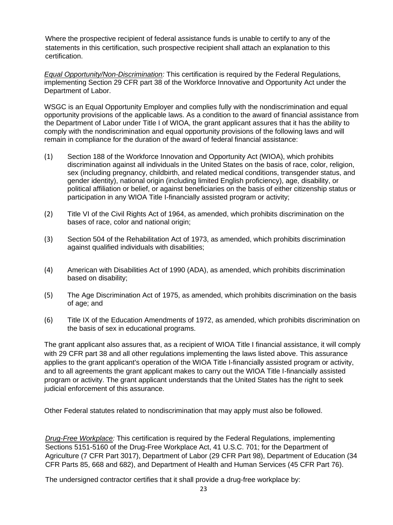Where the prospective recipient of federal assistance funds is unable to certify to any of the statements in this certification, such prospective recipient shall attach an explanation to this certification.

*Equal Opportunity/Non-Discrimination:* This certification is required by the Federal Regulations, implementing Section 29 CFR part 38 of the Workforce Innovative and Opportunity Act under the Department of Labor.

WSGC is an Equal Opportunity Employer and complies fully with the nondiscrimination and equal opportunity provisions of the applicable laws. As a condition to the award of financial assistance from the Department of Labor under Title I of WIOA, the grant applicant assures that it has the ability to comply with the nondiscrimination and equal opportunity provisions of the following laws and will remain in compliance for the duration of the award of federal financial assistance:

- (1) Section 188 of the Workforce Innovation and Opportunity Act (WIOA), which prohibits discrimination against all individuals in the United States on the basis of race, color, religion, sex (including pregnancy, childbirth, and related medical conditions, transgender status, and gender identity), national origin (including limited English proficiency), age, disability, or political affiliation or belief, or against beneficiaries on the basis of either citizenship status or participation in any WIOA Title I-financially assisted program or activity;
- (2) Title VI of the Civil Rights Act of 1964, as amended, which prohibits discrimination on the bases of race, color and national origin;
- (3) Section 504 of the Rehabilitation Act of 1973, as amended, which prohibits discrimination against qualified individuals with disabilities;
- (4) American with Disabilities Act of 1990 (ADA), as amended, which prohibits discrimination based on disability;
- (5) The Age Discrimination Act of 1975, as amended, which prohibits discrimination on the basis of age; and
- (6) Title IX of the Education Amendments of 1972, as amended, which prohibits discrimination on the basis of sex in educational programs.

The grant applicant also assures that, as a recipient of WIOA Title I financial assistance, it will comply with 29 CFR part 38 and all other regulations implementing the laws listed above. This assurance applies to the grant applicant's operation of the WIOA Title I-financially assisted program or activity, and to all agreements the grant applicant makes to carry out the WIOA Title I-financially assisted program or activity. The grant applicant understands that the United States has the right to seek judicial enforcement of this assurance.

Other Federal statutes related to nondiscrimination that may apply must also be followed.

*Drug-Free Workplace:* This certification is required by the Federal Regulations, implementing Sections 5151-5160 of the Drug-Free Workplace Act, 41 U.S.C. 701; for the Department of Agriculture (7 CFR Part 3017), Department of Labor (29 CFR Part 98), Department of Education (34 CFR Parts 85, 668 and 682), and Department of Health and Human Services (45 CFR Part 76).

The undersigned contractor certifies that it shall provide a drug-free workplace by: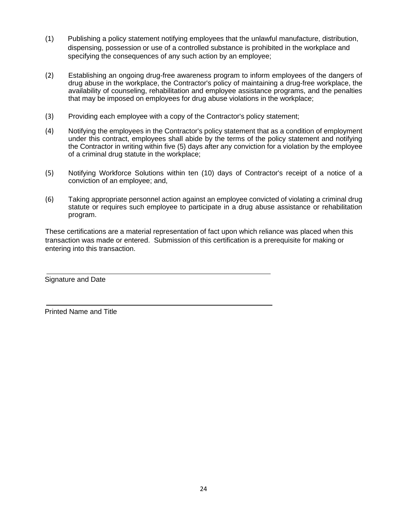- (1) Publishing a policy statement notifying employees that the unlawful manufacture, distribution, dispensing, possession or use of a controlled substance is prohibited in the workplace and specifying the consequences of any such action by an employee;
- (2) Establishing an ongoing drug-free awareness program to inform employees of the dangers of drug abuse in the workplace, the Contractor's policy of maintaining a drug-free workplace, the availability of counseling, rehabilitation and employee assistance programs, and the penalties that may be imposed on employees for drug abuse violations in the workplace;
- (3) Providing each employee with a copy of the Contractor's policy statement;
- (4) Notifying the employees in the Contractor's policy statement that as a condition of employment under this contract, employees shall abide by the terms of the policy statement and notifying the Contractor in writing within five (5) days after any conviction for a violation by the employee of a criminal drug statute in the workplace;
- (5) Notifying Workforce Solutions within ten (10) days of Contractor's receipt of a notice of a conviction of an employee; and,
- (6) Taking appropriate personnel action against an employee convicted of violating a criminal drug statute or requires such employee to participate in a drug abuse assistance or rehabilitation program.

These certifications are a material representation of fact upon which reliance was placed when this transaction was made or entered. Submission of this certification is a prerequisite for making or entering into this transaction.

Signature and Date

Printed Name and Title